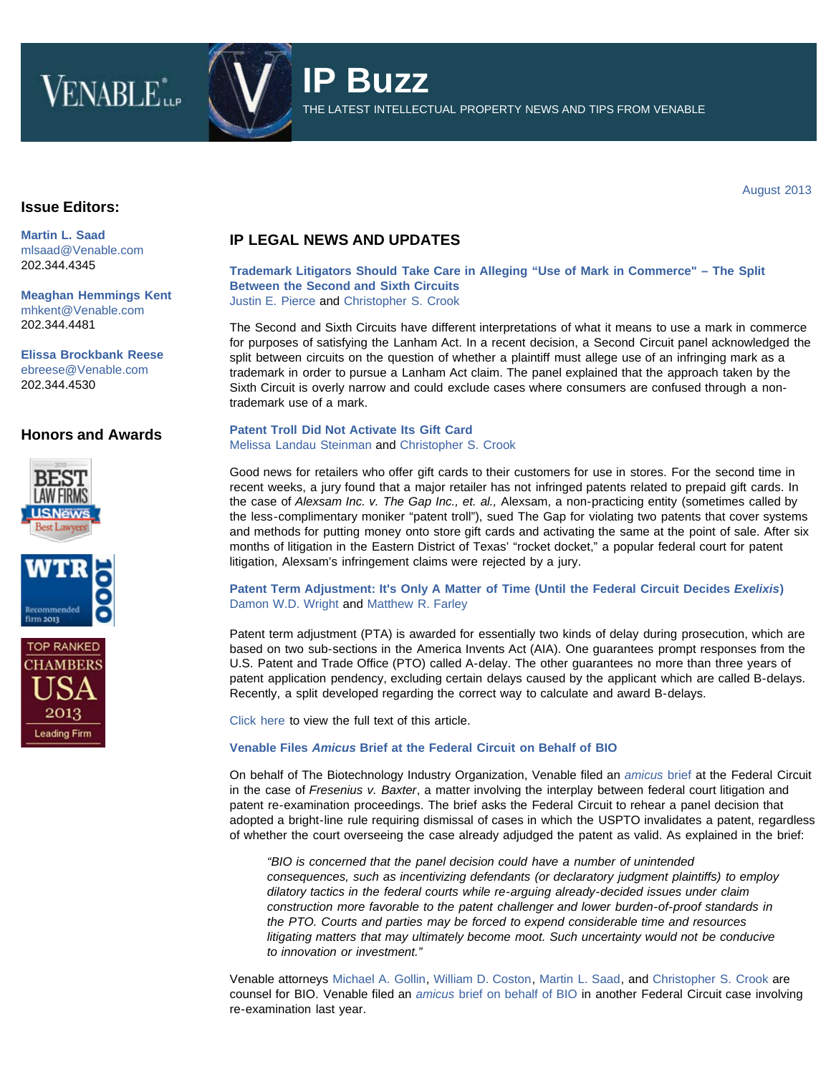# VENABLE<sup>\*</sup>



**IP Buzz** THE LATEST INTELLECTUAL PROPERTY NEWS AND TIPS FROM VENABLE

August 2013

### **Issue Editors:**

**[Martin L. Saad](http://www.venable.com/martin-l-saad)** [mlsaad@Venable.com](mailto:mlsaad@Venable.com) 202.344.4345

**[Meaghan Hemmings Kent](http://www.venable.com/Meaghan-H-Kent)** [mhkent@Venable.com](mailto:mhkent@Venable.com) 202.344.4481

**[Elissa Brockbank Reese](http://www.venable.com/Elissa-B-Reese)** [ebreese@Venable.com](mailto:ebreese@Venable.com) 202.344.4530

## **Honors and Awards**







# **IP LEGAL NEWS AND UPDATES**

## **[Trademark Litigators Should Take Care in Alleging "Use of Mark in Commerce" – The Split](http://www.venable.com/trademark-litigators-should-take-care-in-alleging-use-of-mark-in-commerce--the-split-between-the-second-and-sixth-circuits-08-27-2013/) [Between the Second and Sixth Circuits](http://www.venable.com/trademark-litigators-should-take-care-in-alleging-use-of-mark-in-commerce--the-split-between-the-second-and-sixth-circuits-08-27-2013/)**

[Justin E. Pierce](http://www.venable.com/justin-e-pierce/) and [Christopher S. Crook](http://www.venable.com/christopher-s-crook/)

The Second and Sixth Circuits have different interpretations of what it means to use a mark in commerce for purposes of satisfying the Lanham Act. In a recent decision, a Second Circuit panel acknowledged the split between circuits on the question of whether a plaintiff must allege use of an infringing mark as a trademark in order to pursue a Lanham Act claim. The panel explained that the approach taken by the Sixth Circuit is overly narrow and could exclude cases where consumers are confused through a nontrademark use of a mark.

### **[Patent Troll Did Not Activate Its Gift Card](http://www.allaboutadvertisinglaw.com/blog/2013/08/patent-troll-did-not-activate-its-gift-card.html)** [Melissa Landau Steinman](http://www.venable.com/melissa-l-steinman/) and [Christopher S. Crook](http://www.venable.com/christopher-s-crook/)

Good news for retailers who offer gift cards to their customers for use in stores. For the second time in recent weeks, a jury found that a major retailer has not infringed patents related to prepaid gift cards. In the case of *Alexsam Inc. v. The Gap Inc., et. al.,* Alexsam, a non-practicing entity (sometimes called by the less-complimentary moniker "patent troll"), sued The Gap for violating two patents that cover systems and methods for putting money onto store gift cards and activating the same at the point of sale. After six months of litigation in the Eastern District of Texas' "rocket docket," a popular federal court for patent litigation, Alexsam's infringement claims were rejected by a jury.

#### **[Patent Term Adjustment: It's Only A Matter of Time \(Until the Federal Circuit Decides](http://www.venable.com/patent-term-adjustment-its-only-a-matter-of-time-until-the-federal-circuit-decides-exelixis-08-26-2013/)** *[Exelixis](http://www.venable.com/patent-term-adjustment-its-only-a-matter-of-time-until-the-federal-circuit-decides-exelixis-08-26-2013/)***[\)](http://www.venable.com/patent-term-adjustment-its-only-a-matter-of-time-until-the-federal-circuit-decides-exelixis-08-26-2013/)** [Damon W.D. Wright](http://www.venable.com/damon-wd-wright/) and [Matthew](http://www.venable.com/matthew-r-farley/) R. Farley

Patent term adjustment (PTA) is awarded for essentially two kinds of delay during prosecution, which are based on two sub-sections in the America Invents Act (AIA). One guarantees prompt responses from the U.S. Patent and Trade Office (PTO) called A-delay. The other guarantees no more than three years of patent application pendency, excluding certain delays caused by the applicant which are called B-delays. Recently, a split developed regarding the correct way to calculate and award B-delays.

[Click here](http://www.venable.com/files/Publication/ea9dcac7-202d-4080-92da-bcb7bb1e5e41/Preview/PublicationAttachment/2689462d-d623-4229-852a-c1800a74fd36/Patent_Term_Adjustment_Its_Only_a_Matter_of_Time_Until_the_Federal_Circuit_Decides_Exelixi.pdf#page=7) to view the full text of this article.

#### **[Venable Files](http://www.biotech-now.org/wp-content/uploads/2013/08/Baxter-BIO-brief-supporting-en-banc-rehearing.pdf)** *[Amicus](http://www.biotech-now.org/wp-content/uploads/2013/08/Baxter-BIO-brief-supporting-en-banc-rehearing.pdf)* **[Brief at the Federal Circuit on Behalf of BIO](http://www.biotech-now.org/wp-content/uploads/2013/08/Baxter-BIO-brief-supporting-en-banc-rehearing.pdf)**

On behalf of The Biotechnology Industry Organization, Venable filed an *[amicus](http://www.biotech-now.org/wp-content/uploads/2013/08/Baxter-BIO-brief-supporting-en-banc-rehearing.pdf)* [brief](http://www.biotech-now.org/wp-content/uploads/2013/08/Baxter-BIO-brief-supporting-en-banc-rehearing.pdf) at the Federal Circuit in the case of *Fresenius v. Baxter*, a matter involving the interplay between federal court litigation and patent re-examination proceedings. The brief asks the Federal Circuit to rehear a panel decision that adopted a bright-line rule requiring dismissal of cases in which the USPTO invalidates a patent, regardless of whether the court overseeing the case already adjudged the patent as valid. As explained in the brief:

*"BIO is concerned that the panel decision could have a number of unintended consequences, such as incentivizing defendants (or declaratory judgment plaintiffs) to employ dilatory tactics in the federal courts while re-arguing already-decided issues under claim construction more favorable to the patent challenger and lower burden-of-proof standards in the PTO. Courts and parties may be forced to expend considerable time and resources litigating matters that may ultimately become moot. Such uncertainty would not be conducive to innovation or investment."*

Venable attorneys [Michael A.](http://www.venable.com/michael-a-gollin/) Gollin, [William D.](http://www.venable.com/william-d-coston/) Coston, [Martin L.](http://www.venable.com/martin-l-saad/) Saad, and [Christopher S.](http://www.venable.com/christopher-s-crook/) Crook are counsel for BIO. Venable filed an *[amicus](http://www.venable.com/federal-circuit-vacates-opinion-in-marine-polymer-technologies-inc-v-hemcon-inc-02-16-2012/)* [brief on behalf of BIO](http://www.venable.com/federal-circuit-vacates-opinion-in-marine-polymer-technologies-inc-v-hemcon-inc-02-16-2012/) in another Federal Circuit case involving re-examination last year.